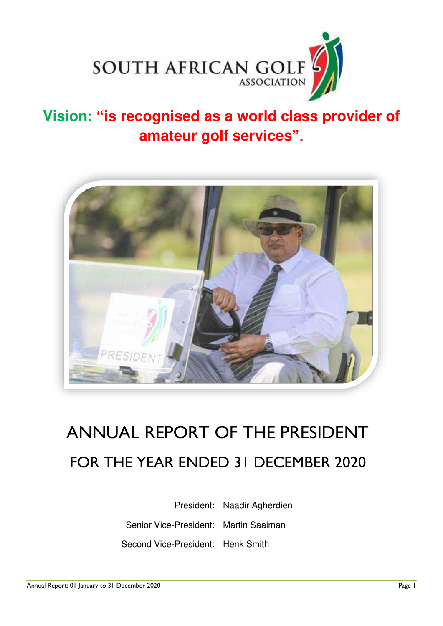

## **Vision: "is recognised as a world class provider of amateur golf services".**



# ANNUAL REPORT OF THE PRESIDENT FOR THE YEAR ENDED 31 DECEMBER 2020

President: Naadir Agherdien Senior Vice-President: Martin Saaiman Second Vice-President: Henk Smith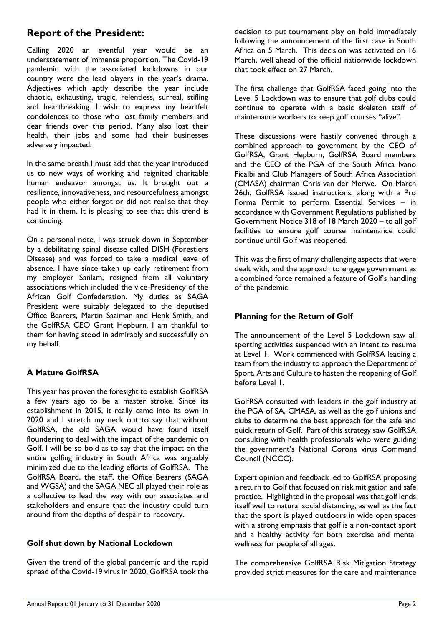## **Report of the President:**

Calling 2020 an eventful year would be an understatement of immense proportion. The Covid-19 pandemic with the associated lockdowns in our country were the lead players in the year's drama. Adjectives which aptly describe the year include chaotic, exhausting, tragic, relentless, surreal, stifling and heartbreaking. I wish to express my heartfelt condolences to those who lost family members and dear friends over this period. Many also lost their health, their jobs and some had their businesses adversely impacted.

In the same breath I must add that the year introduced us to new ways of working and reignited charitable human endeavor amongst us. It brought out a resilience, innovativeness, and resourcefulness amongst people who either forgot or did not realise that they had it in them. It is pleasing to see that this trend is continuing.

On a personal note, I was struck down in September by a debilitating spinal disease called DISH (Forestiers Disease) and was forced to take a medical leave of absence. I have since taken up early retirement from my employer Sanlam, resigned from all voluntary associations which included the vice-Presidency of the African Golf Confederation. My duties as SAGA President were suitably delegated to the deputised Office Bearers, Martin Saaiman and Henk Smith, and the GolfRSA CEO Grant Hepburn. I am thankful to them for having stood in admirably and successfully on my behalf.

## **A Mature GolfRSA**

This year has proven the foresight to establish GolfRSA a few years ago to be a master stroke. Since its establishment in 2015, it really came into its own in 2020 and I stretch my neck out to say that without GolfRSA, the old SAGA would have found itself floundering to deal with the impact of the pandemic on Golf. I will be so bold as to say that the impact on the entire golfing industry in South Africa was arguably minimized due to the leading efforts of GolfRSA. The GolfRSA Board, the staff, the Office Bearers (SAGA and WGSA) and the SAGA NEC all played their role as a collective to lead the way with our associates and stakeholders and ensure that the industry could turn around from the depths of despair to recovery.

## **Golf shut down by National Lockdown**

Given the trend of the global pandemic and the rapid spread of the Covid-19 virus in 2020, GolfRSA took the

decision to put tournament play on hold immediately following the announcement of the first case in South Africa on 5 March. This decision was activated on 16 March, well ahead of the official nationwide lockdown that took effect on 27 March.

The first challenge that GolfRSA faced going into the Level 5 Lockdown was to ensure that golf clubs could continue to operate with a basic skeleton staff of maintenance workers to keep golf courses "alive".

These discussions were hastily convened through a combined approach to government by the CEO of GolfRSA, Grant Hepburn, GolfRSA Board members and the CEO of the PGA of the South Africa Ivano Ficalbi and Club Managers of South Africa Association (CMASA) chairman Chris van der Merwe. On March 26th, GolfRSA issued instructions, along with a Pro Forma Permit to perform Essential Services – in accordance with Government Regulations published by Government Notice 318 of 18 March 2020 – to all golf facilities to ensure golf course maintenance could continue until Golf was reopened.

This was the first of many challenging aspects that were dealt with, and the approach to engage government as a combined force remained a feature of Golf's handling of the pandemic.

## **Planning for the Return of Golf**

The announcement of the Level 5 Lockdown saw all sporting activities suspended with an intent to resume at Level 1. Work commenced with GolfRSA leading a team from the industry to approach the Department of Sport, Arts and Culture to hasten the reopening of Golf before Level 1.

GolfRSA consulted with leaders in the golf industry at the PGA of SA, CMASA, as well as the golf unions and clubs to determine the best approach for the safe and quick return of Golf. Part of this strategy saw GolfRSA consulting with health professionals who were guiding the government's National Corona virus Command Council (NCCC).

Expert opinion and feedback led to GolfRSA proposing a return to Golf that focused on risk mitigation and safe practice. Highlighted in the proposal was that golf lends itself well to natural social distancing, as well as the fact that the sport is played outdoors in wide open spaces with a strong emphasis that golf is a non-contact sport and a healthy activity for both exercise and mental wellness for people of all ages.

The comprehensive GolfRSA Risk Mitigation Strategy provided strict measures for the care and maintenance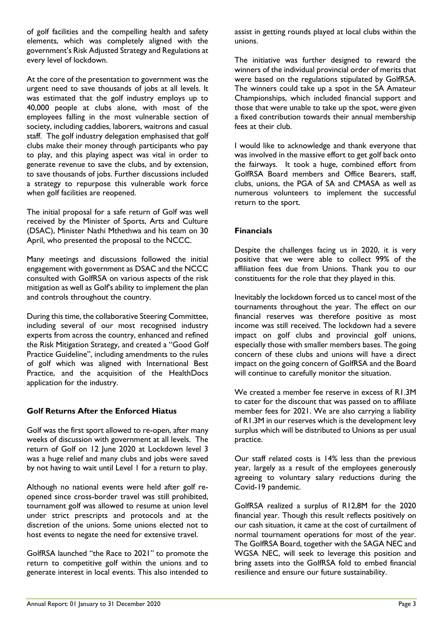of golf facilities and the compelling health and safety elements, which was completely aligned with the government's Risk Adjusted Strategy and Regulations at every level of lockdown.

At the core of the presentation to government was the urgent need to save thousands of jobs at all levels. It was estimated that the golf industry employs up to 40,000 people at clubs alone, with most of the employees falling in the most vulnerable section of society, including caddies, laborers, waitrons and casual staff. The golf industry delegation emphasised that golf clubs make their money through participants who pay to play, and this playing aspect was vital in order to generate revenue to save the clubs, and by extension, to save thousands of jobs. Further discussions included a strategy to repurpose this vulnerable work force when golf facilities are reopened.

The initial proposal for a safe return of Golf was well received by the Minister of Sports, Arts and Culture (DSAC), Minister Nathi Mthethwa and his team on 30 April, who presented the proposal to the NCCC.

Many meetings and discussions followed the initial engagement with government as DSAC and the NCCC consulted with GolfRSA on various aspects of the risk mitigation as well as Golf's ability to implement the plan and controls throughout the country.

During this time, the collaborative Steering Committee, including several of our most recognised industry experts from across the country, enhanced and refined the Risk Mitigation Strategy, and created a "Good Golf Practice Guideline", including amendments to the rules of golf which was aligned with International Best Practice, and the acquisition of the HealthDocs application for the industry.

## **Golf Returns After the Enforced Hiatus**

Golf was the first sport allowed to re-open, after many weeks of discussion with government at all levels. The return of Golf on 12 June 2020 at Lockdown level 3 was a huge relief and many clubs and jobs were saved by not having to wait until Level 1 for a return to play.

Although no national events were held after golf reopened since cross-border travel was still prohibited, tournament golf was allowed to resume at union level under strict prescripts and protocols and at the discretion of the unions. Some unions elected not to host events to negate the need for extensive travel.

GolfRSA launched "the Race to 2021" to promote the return to competitive golf within the unions and to generate interest in local events. This also intended to

assist in getting rounds played at local clubs within the unions.

The initiative was further designed to reward the winners of the individual provincial order of merits that were based on the regulations stipulated by GolfRSA. The winners could take up a spot in the SA Amateur Championships, which included financial support and those that were unable to take up the spot, were given a fixed contribution towards their annual membership fees at their club.

I would like to acknowledge and thank everyone that was involved in the massive effort to get golf back onto the fairways. It took a huge, combined effort from GolfRSA Board members and Office Bearers, staff, clubs, unions, the PGA of SA and CMASA as well as numerous volunteers to implement the successful return to the sport.

## **Financials**

Despite the challenges facing us in 2020, it is very positive that we were able to collect 99% of the affiliation fees due from Unions. Thank you to our constituents for the role that they played in this.

Inevitably the lockdown forced us to cancel most of the tournaments throughout the year. The effect on our financial reserves was therefore positive as most income was still received. The lockdown had a severe impact on golf clubs and provincial golf unions, especially those with smaller members bases. The going concern of these clubs and unions will have a direct impact on the going concern of GolfRSA and the Board will continue to carefully monitor the situation.

We created a member fee reserve in excess of R1.3M to cater for the discount that was passed on to affiliate member fees for 2021. We are also carrying a liability of R1.3M in our reserves which is the development levy surplus which will be distributed to Unions as per usual practice.

Our staff related costs is 14% less than the previous year, largely as a result of the employees generously agreeing to voluntary salary reductions during the Covid-19 pandemic.

GolfRSA realized a surplus of R12,8M for the 2020 financial year. Though this result reflects positively on our cash situation, it came at the cost of curtailment of normal tournament operations for most of the year. The GolfRSA Board, together with the SAGA NEC and WGSA NEC, will seek to leverage this position and bring assets into the GolfRSA fold to embed financial resilience and ensure our future sustainability.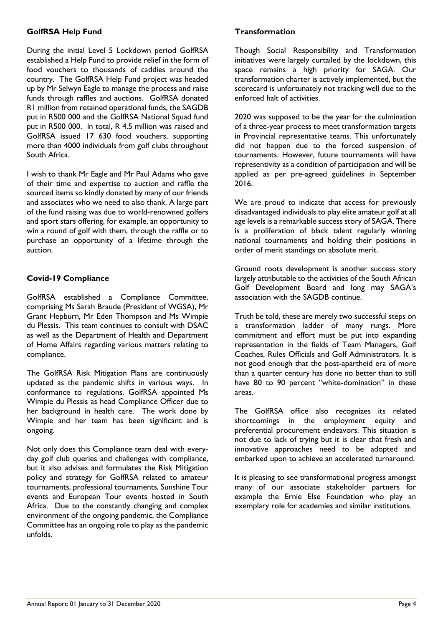## **GolfRSA Help Fund**

During the initial Level 5 Lockdown period GolfRSA established a Help Fund to provide relief in the form of food vouchers to thousands of caddies around the country. The GolfRSA Help Fund project was headed up by Mr Selwyn Eagle to manage the process and raise funds through raffles and auctions. GolfRSA donated R1 million from retained operational funds, the SAGDB put in R500 000 and the GolfRSA National Squad fund put in R500 000. In total, R 4.5 million was raised and GolfRSA issued 17 630 food vouchers, supporting more than 4000 individuals from golf clubs throughout South Africa.

I wish to thank Mr Eagle and Mr Paul Adams who gave of their time and expertise to auction and raffle the sourced items so kindly donated by many of our friends and associates who we need to also thank. A large part of the fund raising was due to world-renowned golfers and sport stars offering, for example, an opportunity to win a round of golf with them, through the raffle or to purchase an opportunity of a lifetime through the auction.

## **Covid-19 Compliance**

GolfRSA established a Compliance Committee, comprising Ms Sarah Braude (President of WGSA), Mr Grant Hepburn, Mr Eden Thompson and Ms Wimpie du Plessis. This team continues to consult with DSAC as well as the Department of Health and Department of Home Affairs regarding various matters relating to compliance.

The GolfRSA Risk Mitigation Plans are continuously updated as the pandemic shifts in various ways. In conformance to regulations, GolfRSA appointed Ms Wimpie du Plessis as head Compliance Officer due to her background in health care. The work done by Wimpie and her team has been significant and is ongoing.

Not only does this Compliance team deal with everyday golf club queries and challenges with compliance, but it also advises and formulates the Risk Mitigation policy and strategy for GolfRSA related to amateur tournaments, professional tournaments, Sunshine Tour events and European Tour events hosted in South Africa. Due to the constantly changing and complex environment of the ongoing pandemic, the Compliance Committee has an ongoing role to play as the pandemic unfolds.

## **Transformation**

Though Social Responsibility and Transformation initiatives were largely curtailed by the lockdown, this space remains a high priority for SAGA. Our transformation charter is actively implemented, but the scorecard is unfortunately not tracking well due to the enforced halt of activities.

2020 was supposed to be the year for the culmination of a three-year process to meet transformation targets in Provincial representative teams. This unfortunately did not happen due to the forced suspension of tournaments. However, future tournaments will have representivity as a condition of participation and will be applied as per pre-agreed guidelines in September 2016.

We are proud to indicate that access for previously disadvantaged individuals to play elite amateur golf at all age levels is a remarkable success story of SAGA. There is a proliferation of black talent regularly winning national tournaments and holding their positions in order of merit standings on absolute merit.

Ground roots development is another success story largely attributable to the activities of the South African Golf Development Board and long may SAGA's association with the SAGDB continue.

Truth be told, these are merely two successful steps on a transformation ladder of many rungs. More commitment and effort must be put into expanding representation in the fields of Team Managers, Golf Coaches, Rules Officials and Golf Administrators. It is not good enough that the post-apartheid era of more than a quarter century has done no better than to still have 80 to 90 percent "white-domination" in these areas.

The GolfRSA office also recognizes its related shortcomings in the employment equity and preferential procurement endeavors. This situation is not due to lack of trying but it is clear that fresh and innovative approaches need to be adopted and embarked upon to achieve an accelerated turnaround.

It is pleasing to see transformational progress amongst many of our associate stakeholder partners for example the Ernie Else Foundation who play an exemplary role for academies and similar institutions.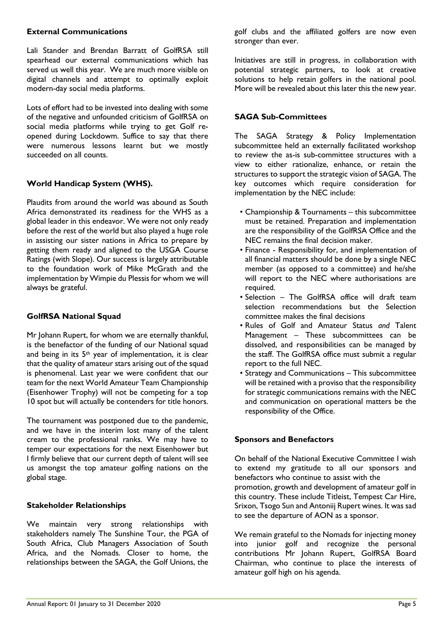## **External Communications**

Lali Stander and Brendan Barratt of GolfRSA still spearhead our external communications which has served us well this year. We are much more visible on digital channels and attempt to optimally exploit modern-day social media platforms.

Lots of effort had to be invested into dealing with some of the negative and unfounded criticism of GolfRSA on social media platforms while trying to get Golf reopened during Lockdowm. Suffice to say that there were numerous lessons learnt but we mostly succeeded on all counts.

## **World Handicap System (WHS).**

Plaudits from around the world was abound as South Africa demonstrated its readiness for the WHS as a global leader in this endeavor. We were not only ready before the rest of the world but also played a huge role in assisting our sister nations in Africa to prepare by getting them ready and aligned to the USGA Course Ratings (with Slope). Our success is largely attributable to the foundation work of Mike McGrath and the implementation by Wimpie du Plessis for whom we will always be grateful.

## **GolfRSA National Squad**

Mr Johann Rupert, for whom we are eternally thankful, is the benefactor of the funding of our National squad and being in its 5th year of implementation, it is clear that the quality of amateur stars arising out of the squad is phenomenal. Last year we were confident that our team for the next World Amateur Team Championship (Eisenhower Trophy) will not be competing for a top 10 spot but will actually be contenders for title honors.

The tournament was postponed due to the pandemic, and we have in the interim lost many of the talent cream to the professional ranks. We may have to temper our expectations for the next Eisenhower but I firmly believe that our current depth of talent will see us amongst the top amateur golfing nations on the global stage.

## **Stakeholder Relationships**

We maintain very strong relationships with stakeholders namely The Sunshine Tour, the PGA of South Africa, Club Managers Association of South Africa, and the Nomads. Closer to home, the relationships between the SAGA, the Golf Unions, the golf clubs and the affiliated golfers are now even stronger than ever.

Initiatives are still in progress, in collaboration with potential strategic partners, to look at creative solutions to help retain golfers in the national pool. More will be revealed about this later this the new year.

## **SAGA Sub-Committees**

The SAGA Strategy & Policy Implementation subcommittee held an externally facilitated workshop to review the as-is sub-committee structures with a view to either rationalize, enhance, or retain the structures to support the strategic vision of SAGA. The key outcomes which require consideration for implementation by the NEC include:

- Championship & Tournaments this subcommittee must be retained. Preparation and implementation are the responsibility of the GolfRSA Office and the NEC remains the final decision maker.
- Finance Responsibility for, and implementation of all financial matters should be done by a single NEC member (as opposed to a committee) and he/she will report to the NEC where authorisations are required.
- Selection The GolfRSA office will draft team selection recommendations but the Selection committee makes the final decisions
- Rules of Golf and Amateur Status *and* Talent Management – These subcommittees can be dissolved, and responsibilities can be managed by the staff. The GolfRSA office must submit a regular report to the full NEC.
- Strategy and Communications This subcommittee will be retained with a proviso that the responsibility for strategic communications remains with the NEC and communication on operational matters be the responsibility of the Office.

## **Sponsors and Benefactors**

On behalf of the National Executive Committee I wish to extend my gratitude to all our sponsors and benefactors who continue to assist with the promotion, growth and development of amateur golf in this country. These include Titleist, Tempest Car Hire, Srixon, Tsogo Sun and Antoniij Rupert wines. It was sad to see the departure of AON as a sponsor.

We remain grateful to the Nomads for injecting money into junior golf and recognize the personal contributions Mr Johann Rupert, GolfRSA Board Chairman, who continue to place the interests of amateur golf high on his agenda.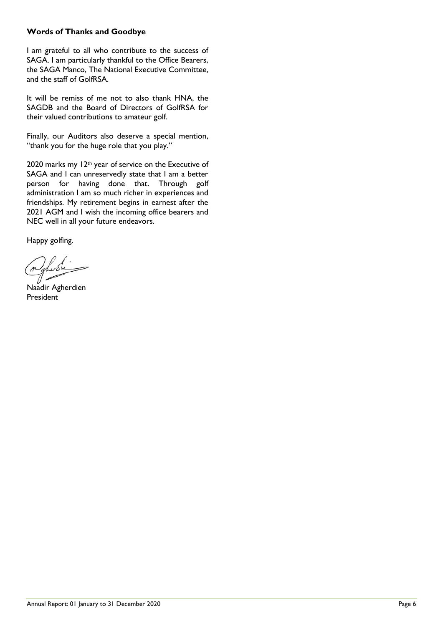## **Words of Thanks and Goodbye**

I am grateful to all who contribute to the success of SAGA. I am particularly thankful to the Office Bearers, the SAGA Manco, The National Executive Committee, and the staff of GolfRSA.

It will be remiss of me not to also thank HNA, the SAGDB and the Board of Directors of GolfRSA for their valued contributions to amateur golf.

Finally, our Auditors also deserve a special mention, "thank you for the huge role that you play."

2020 marks my 12<sup>th</sup> year of service on the Executive of SAGA and I can unreservedly state that I am a better person for having done that. Through golf administration I am so much richer in experiences and friendships. My retirement begins in earnest after the 2021 AGM and I wish the incoming office bearers and NEC well in all your future endeavors.

Happy golfing.

Lode

Naadir Agherdien President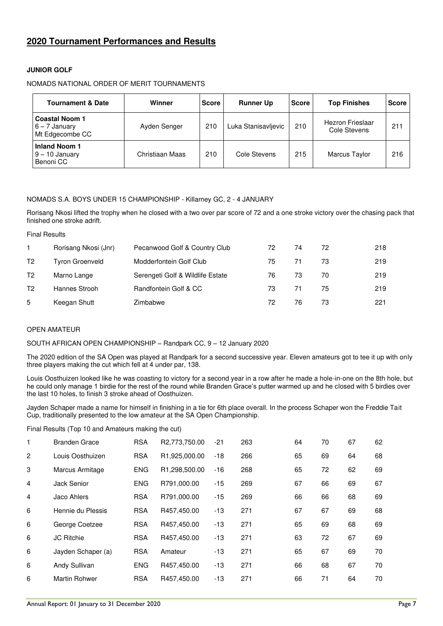## **2020 Tournament Performances and Results**

## **JUNIOR GOLF**

## NOMADS NATIONAL ORDER OF MERIT TOURNAMENTS

| <b>Tournament &amp; Date</b>                                | Winner          | <b>Score</b> | <b>Runner Up</b>    | <b>Score</b> | <b>Top Finishes</b>              | <b>Score</b> |
|-------------------------------------------------------------|-----------------|--------------|---------------------|--------------|----------------------------------|--------------|
| <b>Coastal Noom 1</b><br>$6 - 7$ January<br>Mt Edgecombe CC | Ayden Senger    | 210          | Luka Stanisavljevic | 210          | Hezron Frieslaar<br>Cole Stevens | 211          |
| <b>Inland Noom 1</b><br>$9 - 10$ January<br>Benoni CC       | Christiaan Maas | 210          | Cole Stevens        | 215          | <b>Marcus Taylor</b>             | 216          |

## NOMADS S.A. BOYS UNDER 15 CHAMPIONSHIP - Killarney GC, 2 - 4 JANUARY

Rorisang Nkosi lifted the trophy when he closed with a two over par score of 72 and a one stroke victory over the chasing pack that finished one stroke adrift.

Final Results

|    | Rorisang Nkosi (Jnr)   | Pecanwood Golf & Country Club    | 72 | 74 | 72 | 218 |
|----|------------------------|----------------------------------|----|----|----|-----|
| T2 | <b>Tyron Groenveld</b> | Modderfontein Golf Club          | 75 | 71 | 73 | 219 |
| T2 | Marno Lange            | Serengeti Golf & Wildlife Estate | 76 | 73 | 70 | 219 |
| T2 | Hannes Strooh          | Randfontein Golf & CC            | 73 | 71 | 75 | 219 |
| 5  | Keegan Shutt           | Zimbabwe                         | 72 | 76 | 73 | 221 |

#### OPEN AMATEUR

## SOUTH AFRICAN OPEN CHAMPIONSHIP – Randpark CC, 9 – 12 January 2020

The 2020 edition of the SA Open was played at Randpark for a second successive year. Eleven amateurs got to tee it up with only three players making the cut which fell at 4 under par, 138.

Louis Oosthuizen looked like he was coasting to victory for a second year in a row after he made a hole-in-one on the 8th hole, but he could only manage 1 birdie for the rest of the round while Branden Grace's putter warmed up and he closed with 5 birdies over the last 10 holes, to finish 3 stroke ahead of Oosthuizen.

Jayden Schaper made a name for himself in finishing in a tie for 6th place overall. In the process Schaper won the Freddie Tait Cup, traditionally presented to the low amateur at the SA Open Championship.

Final Results (Top 10 and Amateurs making the cut)

| 1              | <b>Branden Grace</b> | <b>RSA</b> | R2,773,750.00 | $-21$ | 263 | 64 | 70 | 67 | 62 |
|----------------|----------------------|------------|---------------|-------|-----|----|----|----|----|
| 2              | Louis Oosthuizen     | <b>RSA</b> | R1,925,000.00 | -18   | 266 | 65 | 69 | 64 | 68 |
| 3              | Marcus Armitage      | <b>ENG</b> | R1,298,500.00 | $-16$ | 268 | 65 | 72 | 62 | 69 |
| $\overline{4}$ | Jack Senior          | <b>ENG</b> | R791,000.00   | -15   | 269 | 67 | 66 | 69 | 67 |
| 4              | Jaco Ahlers          | <b>RSA</b> | R791,000.00   | -15   | 269 | 66 | 66 | 68 | 69 |
| 6              | Hennie du Plessis    | <b>RSA</b> | R457,450.00   | $-13$ | 271 | 67 | 67 | 69 | 68 |
| 6              | George Coetzee       | <b>RSA</b> | R457,450.00   | -13   | 271 | 65 | 69 | 68 | 69 |
| 6              | <b>JC Ritchie</b>    | <b>RSA</b> | R457,450.00   | -13   | 271 | 63 | 72 | 67 | 69 |
| 6              | Jayden Schaper (a)   | <b>RSA</b> | Amateur       | -13   | 271 | 65 | 67 | 69 | 70 |
| 6              | Andy Sullivan        | <b>ENG</b> | R457,450.00   | -13   | 271 | 66 | 68 | 67 | 70 |
| 6              | <b>Martin Rohwer</b> | <b>RSA</b> | R457,450.00   | -13   | 271 | 66 | 71 | 64 | 70 |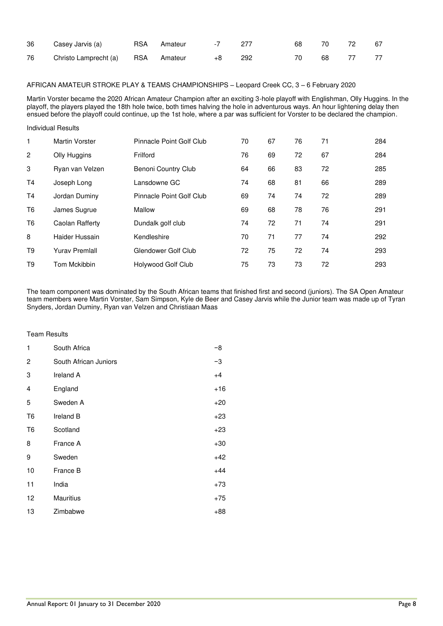| 36 | Casey Jarvis (a)                  | RSA Amateur | -7 277 |     |     | 68 70 72 | - 67 |
|----|-----------------------------------|-------------|--------|-----|-----|----------|------|
| 76 | Christo Lamprecht (a) BSA Amateur |             |        | 292 | -70 | 68 77    | 77   |

## AFRICAN AMATEUR STROKE PLAY & TEAMS CHAMPIONSHIPS – Leopard Creek CC, 3 – 6 February 2020

Martin Vorster became the 2020 African Amateur Champion after an exciting 3-hole playoff with Englishman, Olly Huggins. In the playoff, the players played the 18th hole twice, both times halving the hole in adventurous ways. An hour lightening delay then ensued before the playoff could continue, up the 1st hole, where a par was sufficient for Vorster to be declared the champion.

## Individual Results

| 1              | Martin Vorster        | Pinnacle Point Golf Club | 70 | 67 | 76 | 71 | 284 |
|----------------|-----------------------|--------------------------|----|----|----|----|-----|
| 2              | Olly Huggins          | Frilford                 | 76 | 69 | 72 | 67 | 284 |
| 3              | Ryan van Velzen       | Benoni Country Club      | 64 | 66 | 83 | 72 | 285 |
| T <sub>4</sub> | Joseph Long           | Lansdowne GC             | 74 | 68 | 81 | 66 | 289 |
| T <sub>4</sub> | Jordan Duminy         | Pinnacle Point Golf Club | 69 | 74 | 74 | 72 | 289 |
| T <sub>6</sub> | James Sugrue          | Mallow                   | 69 | 68 | 78 | 76 | 291 |
| T6             | Caolan Rafferty       | Dundalk golf club        | 74 | 72 | 71 | 74 | 291 |
| 8              | Haider Hussain        | Kendleshire              | 70 | 71 | 77 | 74 | 292 |
| T9             | <b>Yurav Premlall</b> | Glendower Golf Club      | 72 | 75 | 72 | 74 | 293 |
| T9             | Tom Mckibbin          | Holywood Golf Club       | 75 | 73 | 73 | 72 | 293 |

The team component was dominated by the South African teams that finished first and second (juniors). The SA Open Amateur team members were Martin Vorster, Sam Simpson, Kyle de Beer and Casey Jarvis while the Junior team was made up of Tyran Snyders, Jordan Duminy, Ryan van Velzen and Christiaan Maas

#### Team Results

| 1              | South Africa          | -8    |
|----------------|-----------------------|-------|
| 2              | South African Juniors | -3    |
| 3              | Ireland A             | $+4$  |
| 4              | England               | $+16$ |
| 5              | Sweden A              | $+20$ |
| T <sub>6</sub> | Ireland B             | $+23$ |
| T6             | Scotland              | $+23$ |
| 8              | France A              | $+30$ |
| 9              | Sweden                | $+42$ |
| 10             | France B              | $+44$ |
| 11             | India                 | $+73$ |
| 12             | Mauritius             | $+75$ |
| 13             | Zimbabwe              | +88   |
|                |                       |       |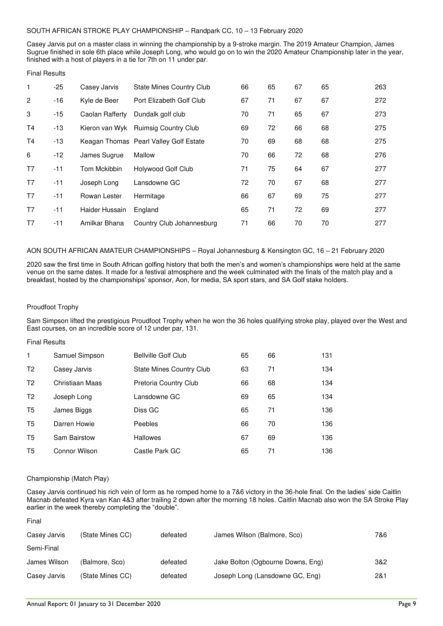## SOUTH AFRICAN STROKE PLAY CHAMPIONSHIP – Randpark CC, 10 – 13 February 2020

Casey Jarvis put on a master class in winning the championship by a 9-stroke margin. The 2019 Amateur Champion, James Sugrue finished in sole 6th place while Joseph Long, who would go on to win the 2020 Amateur Championship later in the year, finished with a host of players in a tie for 7th on 11 under par.

#### Final Results

| 1              | $-25$ | Casey Jarvis    | <b>State Mines Country Club</b>        | 66 | 65 | 67 | 65 | 263 |
|----------------|-------|-----------------|----------------------------------------|----|----|----|----|-----|
| $\overline{2}$ | $-16$ | Kyle de Beer    | Port Elizabeth Golf Club               | 67 | 71 | 67 | 67 | 272 |
| 3              | $-15$ | Caolan Rafferty | Dundalk golf club                      | 70 | 71 | 65 | 67 | 273 |
| Τ4             | $-13$ |                 | Kieron van Wyk Ruimsig Country Club    | 69 | 72 | 66 | 68 | 275 |
| <b>T4</b>      | $-13$ |                 | Keagan Thomas Pearl Valley Golf Estate | 70 | 69 | 68 | 68 | 275 |
| 6              | -12   | James Sugrue    | Mallow                                 | 70 | 66 | 72 | 68 | 276 |
| T7             | $-11$ | Tom Mckibbin    | Holywood Golf Club                     | 71 | 75 | 64 | 67 | 277 |
| T7             | $-11$ | Joseph Long     | Lansdowne GC                           | 72 | 70 | 67 | 68 | 277 |
| T7             | $-11$ | Rowan Lester    | Hermitage                              | 66 | 67 | 69 | 75 | 277 |
| T7             | $-11$ | Haider Hussain  | England                                | 65 | 71 | 72 | 69 | 277 |
| T7             | $-11$ | Amilkar Bhana   | Country Club Johannesburg              | 71 | 66 | 70 | 70 | 277 |

## AON SOUTH AFRICAN AMATEUR CHAMPIONSHIPS – Royal Johannesburg & Kensington GC, 16 – 21 February 2020

2020 saw the first time in South African golfing history that both the men's and women's championships were held at the same venue on the same dates. It made for a festival atmosphere and the week culminated with the finals of the match play and a breakfast, hosted by the championships' sponsor, Aon, for media, SA sport stars, and SA Golf stake holders.

## Proudfoot Trophy

Sam Simpson lifted the prestigious Proudfoot Trophy when he won the 36 holes qualifying stroke play, played over the West and East courses, on an incredible score of 12 under par, 131.

## Final Results

| 1              | Samuel Simpson      | <b>Bellville Golf Club</b>      | 65 | 66 | 131 |
|----------------|---------------------|---------------------------------|----|----|-----|
| T <sub>2</sub> | Casey Jarvis        | <b>State Mines Country Club</b> | 63 | 71 | 134 |
| T <sub>2</sub> | Christiaan Maas     | Pretoria Country Club           | 66 | 68 | 134 |
| T <sub>2</sub> | Joseph Long         | Lansdowne GC                    | 69 | 65 | 134 |
| T5             | James Biggs         | Diss GC                         | 65 | 71 | 136 |
| T5             | Darren Howie        | Peebles                         | 66 | 70 | 136 |
| T5             | <b>Sam Bairstow</b> | <b>Hallowes</b>                 | 67 | 69 | 136 |
| T5             | Connor Wilson       | Castle Park GC                  | 65 | 71 | 136 |

## Championship (Match Play)

Final

Casey Jarvis continued his rich vein of form as he romped home to a 7&6 victory in the 36-hole final. On the ladies' side Caitlin Macnab defeated Kyra van Kan 4&3 after trailing 2 down after the morning 18 holes. Caitlin Macnab also won the SA Stroke Play earlier in the week thereby completing the "double".

| Casey Jarvis | (State Mines CC) | defeated | James Wilson (Balmore, Sco)       | 7&6 |
|--------------|------------------|----------|-----------------------------------|-----|
| Semi-Final   |                  |          |                                   |     |
| James Wilson | (Balmore, Sco)   | defeated | Jake Bolton (Ogbourne Downs, Eng) | 3&2 |
| Casey Jarvis | (State Mines CC) | defeated | Joseph Long (Lansdowne GC, Eng)   | 2&1 |